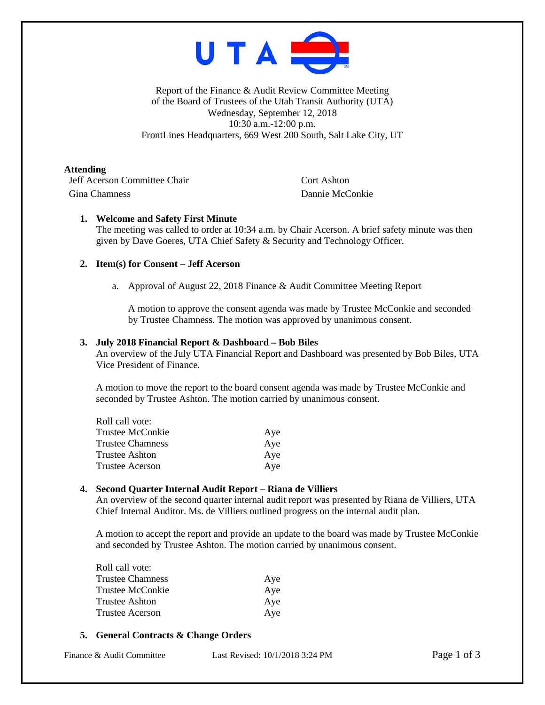

Report of the Finance & Audit Review Committee Meeting of the Board of Trustees of the Utah Transit Authority (UTA) Wednesday, September 12, 2018 10:30 a.m.-12:00 p.m. FrontLines Headquarters, 669 West 200 South, Salt Lake City, UT

**Attending**

**Jeff Acerson Committee Chair** Cort Ashton Gina Chamness Dannie McConkie

# **1. Welcome and Safety First Minute**

The meeting was called to order at 10:34 a.m. by Chair Acerson. A brief safety minute was then given by Dave Goeres, UTA Chief Safety & Security and Technology Officer.

## **2. Item(s) for Consent – Jeff Acerson**

a. Approval of August 22, 2018 Finance & Audit Committee Meeting Report

A motion to approve the consent agenda was made by Trustee McConkie and seconded by Trustee Chamness. The motion was approved by unanimous consent.

## **3. July 2018 Financial Report & Dashboard – Bob Biles**

An overview of the July UTA Financial Report and Dashboard was presented by Bob Biles, UTA Vice President of Finance.

A motion to move the report to the board consent agenda was made by Trustee McConkie and seconded by Trustee Ashton. The motion carried by unanimous consent.

| Roll call vote:  |     |
|------------------|-----|
| Trustee McConkie | Aye |
| Trustee Chamness | Aye |
| Trustee Ashton   | Aye |
| Trustee Acerson  | Aye |

## **4. Second Quarter Internal Audit Report – Riana de Villiers**

An overview of the second quarter internal audit report was presented by Riana de Villiers, UTA Chief Internal Auditor. Ms. de Villiers outlined progress on the internal audit plan.

A motion to accept the report and provide an update to the board was made by Trustee McConkie and seconded by Trustee Ashton. The motion carried by unanimous consent.

| Aye |
|-----|
| Aye |
| Aye |
| Aye |
|     |

## **5. General Contracts & Change Orders**

| Finance & Audit Committee | Last Revised: 10/1/2018 3:24 PM |
|---------------------------|---------------------------------|
|                           |                                 |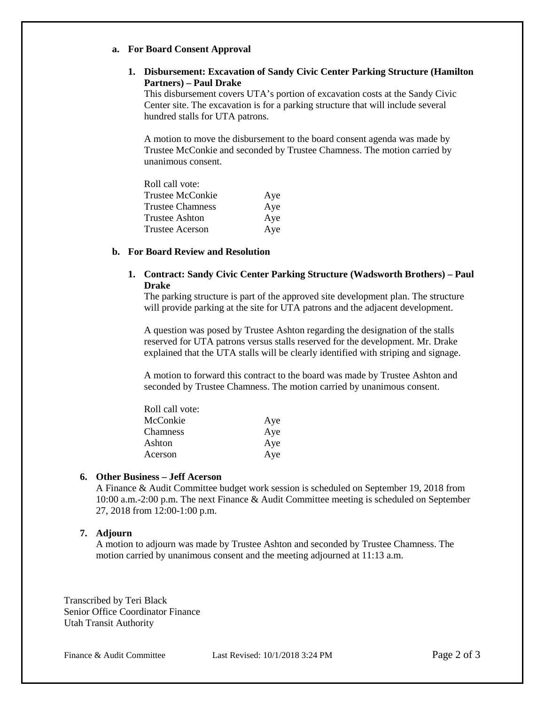#### **a. For Board Consent Approval**

# **1. Disbursement: Excavation of Sandy Civic Center Parking Structure (Hamilton Partners) – Paul Drake**

This disbursement covers UTA's portion of excavation costs at the Sandy Civic Center site. The excavation is for a parking structure that will include several hundred stalls for UTA patrons.

A motion to move the disbursement to the board consent agenda was made by Trustee McConkie and seconded by Trustee Chamness. The motion carried by unanimous consent.

| Roll call vote:         |     |
|-------------------------|-----|
| Trustee McConkie        | Aye |
| <b>Trustee Chamness</b> | Aye |
| Trustee Ashton          | Aye |
| <b>Trustee Acerson</b>  | Aye |

#### **b. For Board Review and Resolution**

## **1. Contract: Sandy Civic Center Parking Structure (Wadsworth Brothers) – Paul Drake**

The parking structure is part of the approved site development plan. The structure will provide parking at the site for UTA patrons and the adjacent development.

A question was posed by Trustee Ashton regarding the designation of the stalls reserved for UTA patrons versus stalls reserved for the development. Mr. Drake explained that the UTA stalls will be clearly identified with striping and signage.

A motion to forward this contract to the board was made by Trustee Ashton and seconded by Trustee Chamness. The motion carried by unanimous consent.

| Roll call vote: |     |
|-----------------|-----|
| McConkie        | Aye |
| <b>Chamness</b> | Aye |
| Ashton          | Aye |
| Acerson         | Aye |

# **6. Other Business – Jeff Acerson**

A Finance & Audit Committee budget work session is scheduled on September 19, 2018 from 10:00 a.m.-2:00 p.m. The next Finance & Audit Committee meeting is scheduled on September 27, 2018 from 12:00-1:00 p.m.

#### **7. Adjourn**

A motion to adjourn was made by Trustee Ashton and seconded by Trustee Chamness. The motion carried by unanimous consent and the meeting adjourned at 11:13 a.m.

Transcribed by Teri Black Senior Office Coordinator Finance Utah Transit Authority